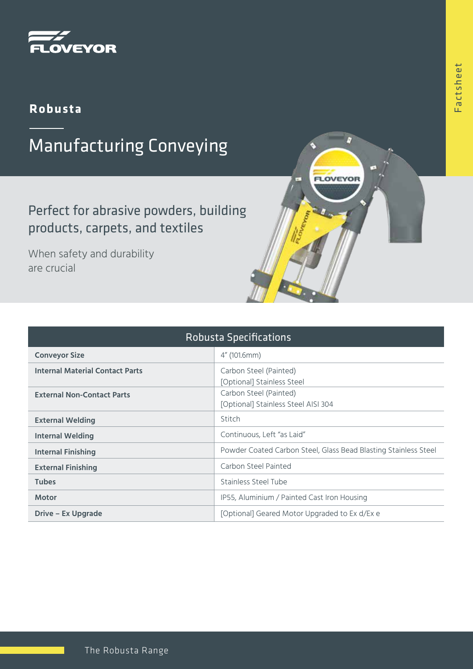

## **Robusta**

## Manufacturing Conveying

Perfect for abrasive powders, building products, carpets, and textiles

When safety and durability are crucial

| <b>Robusta Specifications</b>          |                                                                 |
|----------------------------------------|-----------------------------------------------------------------|
| <b>Conveyor Size</b>                   | 4" (101.6mm)                                                    |
| <b>Internal Material Contact Parts</b> | Carbon Steel (Painted)<br>[Optional] Stainless Steel            |
| <b>External Non-Contact Parts</b>      | Carbon Steel (Painted)<br>[Optional] Stainless Steel AISI 304   |
| <b>External Welding</b>                | Stitch                                                          |
| Internal Welding                       | Continuous, Left "as Laid"                                      |
| <b>Internal Finishing</b>              | Powder Coated Carbon Steel, Glass Bead Blasting Stainless Steel |
| <b>External Finishing</b>              | Carbon Steel Painted                                            |
| <b>Tubes</b>                           | Stainless Steel Tube                                            |
| <b>Motor</b>                           | IP55, Aluminium / Painted Cast Iron Housing                     |
| Drive – Ex Upgrade                     | [Optional] Geared Motor Upgraded to Ex d/Ex e                   |

D

**FLOVEYOR**